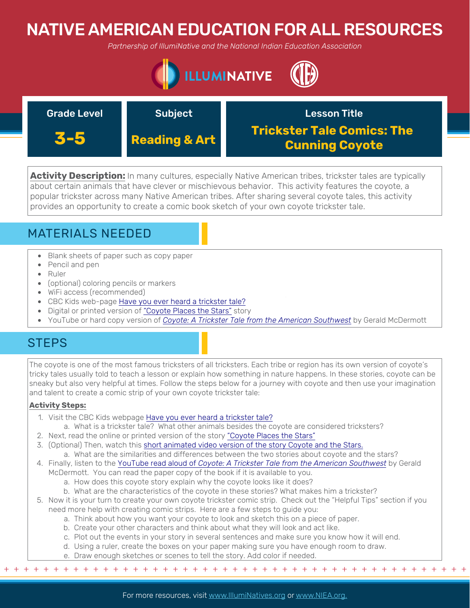# NATIVE AMERICAN EDUCATION FOR ALL RESOURCES

*Partnership of IllumiNative and the National Indian Education Association*



| <b>Grade Level</b> | <b>Subject</b>           | <b>Lesson Title</b>                                        |
|--------------------|--------------------------|------------------------------------------------------------|
| 3-5                | <b>Reading &amp; Art</b> | <b>Trickster Tale Comics: The</b><br><b>Cunning Coyote</b> |

**Activity Description:** In many cultures, especially Native American tribes, trickster tales are typically about certain animals that have clever or mischievous behavior. This activity features the coyote, a popular trickster across many Native American tribes. After sharing several coyote tales, this activity provides an opportunity to create a comic book sketch of your own coyote trickster tale.

## MATERIALS NEEDED

- Blank sheets of paper such as copy paper
- Pencil and pen
- Ruler
- (optional) coloring pencils or markers
- WiFi access (recommended)
- CBC Kids web-page [Have you ever heard a trickster tale?](https://www.cbc.ca/kidscbc2/the-feed/have-you-ever-heard-a-trickster-tale)
- Digital or printed version of ["Coyote Places the Stars"](http://cloud.rpsar.net/edocs/ela/4thGrade/TCRes/Unit5/LiteraryText/CoyotePlacestheStars.pdf) story
- YouTube or hard copy version of *[Coyote: A Trickster Tale from the American Southwest](https://www.youtube.com/watch?v=9eDWCf2rXhc)* by Gerald McDermott

## **STEPS**

The coyote is one of the most famous tricksters of all tricksters. Each tribe or region has its own version of coyote's tricky tales usually told to teach a lesson or explain how something in nature happens. In these stories, coyote can be sneaky but also very helpful at times. Follow the steps below for a journey with coyote and then use your imagination and talent to create a comic strip of your own coyote trickster tale:

### **Activity Steps:**

- 1. Visit the CBC Kids webpage [Have you ever heard a trickster tale?](https://www.cbc.ca/kidscbc2/the-feed/have-you-ever-heard-a-trickster-tale)
	- a. What is a trickster tale? What other animals besides the coyote are considered tricksters?
- 2. Next, read the online or printed version of the story ["Coyote Places the Stars"](http://cloud.rpsar.net/edocs/ela/4thGrade/TCRes/Unit5/LiteraryText/CoyotePlacestheStars.pdf)
- 3. (Optional) Then, watch this [short animated video version of the story Coyote and the Stars.](https://www.youtube.com/watch?time_continue=238&v=98vhIC8Eg1k&feature=emb_logo) a. What are the similarities and differences between the two stories about coyote and the stars?
- 4. Finally, listen to the YouTube read aloud of *[Coyote: A Trickster Tale from the American Southwest](https://www.youtube.com/watch?v=9eDWCf2rXhc)* by Gerald
- McDermott. You can read the paper copy of the book if it is available to you.
	- a. How does this coyote story explain why the coyote looks like it does?
	- b. What are the characteristics of the coyote in these stories? What makes him a trickster?
- 5. Now it is your turn to create your own coyote trickster comic strip. Check out the "Helpful Tips" section if you need more help with creating comic strips. Here are a few steps to guide you:
	- a. Think about how you want your coyote to look and sketch this on a piece of paper.
	- b. Create your other characters and think about what they will look and act like.
	- c. Plot out the events in your story in several sentences and make sure you know how it will end.
	- d. Using a ruler, create the boxes on your paper making sure you have enough room to draw.
	- e. Draw enough sketches or scenes to tell the story. Add color if needed.

+ + + + + + + + + + + + + + + + + + + + + + + + + + + + + + + + + + + + + + + + + + + + + + + +